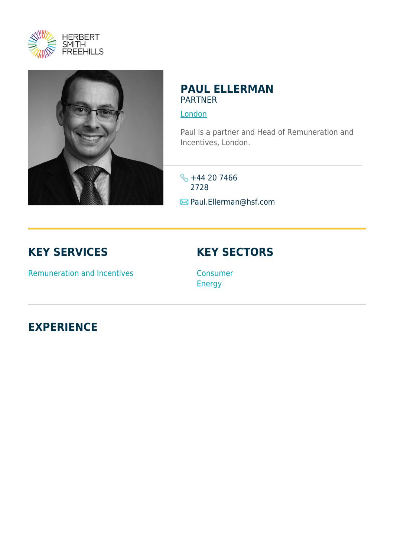



### **PAUL ELLERMAN PARTNER**

[London](https://www.herbertsmithfreehills.com/lang-zh-hans/where-we-work/london)

Paul is a partner and Head of Remuneration and Incentives, London.

 $\leftarrow$  +44 20 7466 2728 Paul.Ellerman@hsf.com

## **KEY SERVICES**

# **KEY SECTORS**

Remuneration and Incentives

Consumer Energy

**EXPERIENCE**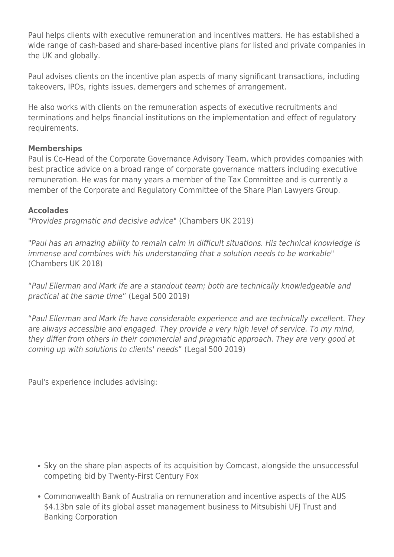Paul helps clients with executive remuneration and incentives matters. He has established a wide range of cash-based and share-based incentive plans for listed and private companies in the UK and globally.

Paul advises clients on the incentive plan aspects of many significant transactions, including takeovers, IPOs, rights issues, demergers and schemes of arrangement.

He also works with clients on the remuneration aspects of executive recruitments and terminations and helps financial institutions on the implementation and effect of regulatory requirements.

### **Memberships**

Paul is Co-Head of the Corporate Governance Advisory Team, which provides companies with best practice advice on a broad range of corporate governance matters including executive remuneration. He was for many years a member of the Tax Committee and is currently a member of the Corporate and Regulatory Committee of the Share Plan Lawyers Group.

### **Accolades**

"Provides pragmatic and decisive advice" (Chambers UK 2019)

"Paul has an amazing ability to remain calm in difficult situations. His technical knowledge is immense and combines with his understanding that a solution needs to be workable" (Chambers UK 2018)

"Paul Ellerman and Mark Ife are a standout team; both are technically knowledgeable and practical at the same time" (Legal 500 2019)

"Paul Ellerman and Mark Ife have considerable experience and are technically excellent. They are always accessible and engaged. They provide a very high level of service. To my mind, they differ from others in their commercial and pragmatic approach. They are very good at coming up with solutions to clients' needs" (Legal 500 2019)

Paul's experience includes advising:

- Sky on the share plan aspects of its acquisition by Comcast, alongside the unsuccessful competing bid by Twenty-First Century Fox
- Commonwealth Bank of Australia on remuneration and incentive aspects of the AUS \$4.13bn sale of its global asset management business to Mitsubishi UFJ Trust and Banking Corporation